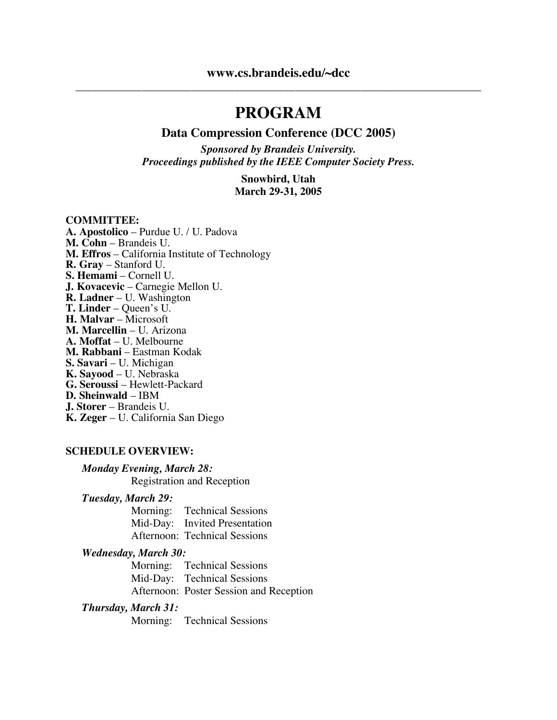# **PROGRAM**

#### **Data Compression Conference (DCC 2005)**

*Sponsored by Brandeis University. Proceedings published by the IEEE Computer Society Press.*

#### **Snowbird, Utah March 29-31, 2005**

#### **COMMITTEE:**

**A. Apostolico** – Purdue U. / U. Padova **M. Cohn** – Brandeis U. **M. Effros** – California Institute of Technology **R. Gray** – Stanford U. **S. Hemami** – Cornell U. **J. Kovacevic** – Carnegie Mellon U. **R. Ladner** – U. Washington **T. Linder** – Queen's U. **H. Malvar** – Microsoft **M. Marcellin** – U. Arizona **A. Moffat** – U. Melbourne **M. Rabbani** – Eastman Kodak **S. Savari** – U. Michigan **K. Sayood** – U. Nebraska **G. Seroussi** – Hewlett-Packard **D. Sheinwald** – IBM **J. Storer** – Brandeis U. **K. Zeger** – U. California San Diego

#### **SCHEDULE OVERVIEW:**

#### *Monday Evening, March 28:*

Registration and Reception

#### *Tuesday, March 29:*

Morning: Technical Sessions Mid-Day: Invited Presentation Afternoon: Technical Sessions

#### *Wednesday, March 30:*

Morning: Technical Sessions Mid-Day: Technical Sessions Afternoon: Poster Session and Reception

#### *Thursday, March 31:*

Morning: Technical Sessions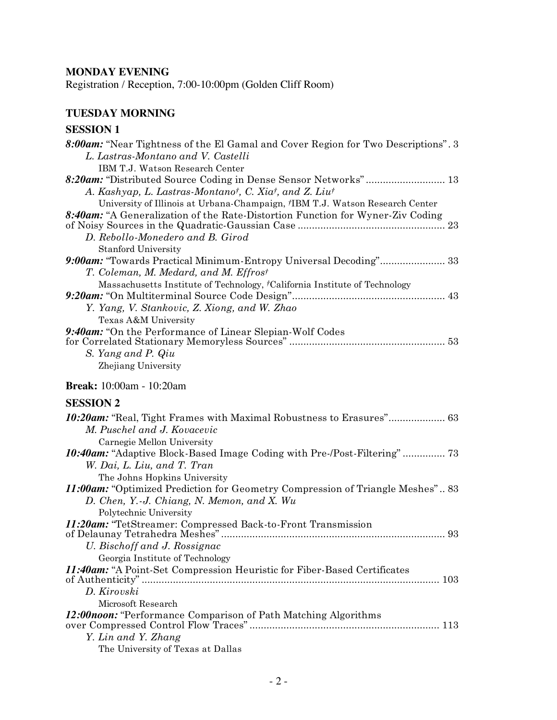# **MONDAY EVENING**

Registration / Reception, 7:00-10:00pm (Golden Cliff Room)

# **TUESDAY MORNING**

## **SESSION 1**

| L. Lastras-Montano and V. Castelli                                                     |
|----------------------------------------------------------------------------------------|
| IBM T.J. Watson Research Center                                                        |
| 8:20am: "Distributed Source Coding in Dense Sensor Networks" 13                        |
| A. Kashyap, L. Lastras-Montanot, C. Xiat, and Z. Liut                                  |
| University of Illinois at Urbana-Champaign, <i>†IBM T.J.</i> Watson Research Center    |
| 8:40am: "A Generalization of the Rate-Distortion Function for Wyner-Ziv Coding         |
|                                                                                        |
| D. Rebollo-Monedero and B. Girod                                                       |
| <b>Stanford University</b>                                                             |
| 9:00am: "Towards Practical Minimum-Entropy Universal Decoding" 33                      |
| T. Coleman, M. Medard, and M. Effrost                                                  |
| Massachusetts Institute of Technology, <sup>†</sup> California Institute of Technology |
|                                                                                        |
| Y. Yang, V. Stankovic, Z. Xiong, and W. Zhao                                           |
| Texas A&M University                                                                   |
| 9:40am: "On the Performance of Linear Slepian-Wolf Codes"                              |
|                                                                                        |
| S. Yang and P. Qiu<br>Zhejiang University                                              |
|                                                                                        |
| <b>Break:</b> 10:00am - 10:20am                                                        |
| <b>SESSION 2</b>                                                                       |
| 10:20am: "Real, Tight Frames with Maximal Robustness to Erasures" 63                   |
| M. Puschel and J. Kovacevic                                                            |
| Carnegie Mellon University                                                             |
|                                                                                        |
| 10:40am: "Adaptive Block-Based Image Coding with Pre-/Post-Filtering" 73               |
| W. Dai, L. Liu, and T. Tran                                                            |
| The Johns Hopkins University                                                           |
| <b>11:00am:</b> "Optimized Prediction for Geometry Compression of Triangle Meshes" 83  |
| D. Chen, Y.-J. Chiang, N. Memon, and X. Wu                                             |
| Polytechnic University                                                                 |
| <i>11:20am:</i> "TetStreamer: Compressed Back-to-Front Transmission"                   |
|                                                                                        |
| U. Bischoff and J. Rossignac                                                           |
| Georgia Institute of Technology                                                        |
| 11:40am: "A Point-Set Compression Heuristic for Fiber-Based Certificates               |
|                                                                                        |
| D. Kirovski                                                                            |
| Microsoft Research                                                                     |
| 12:00noon: "Performance Comparison of Path Matching Algorithms                         |

The University of Texas at Dallas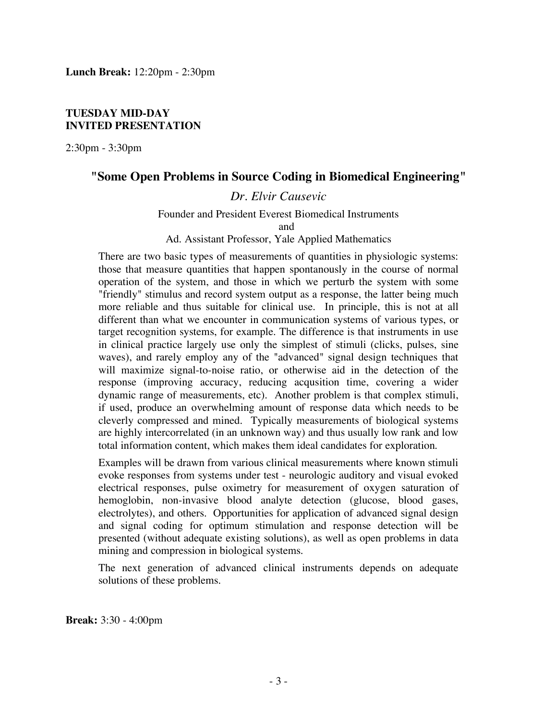#### **TUESDAY MID-DAY INVITED PRESENTATION**

2:30pm - 3:30pm

## **"Some Open Problems in Source Coding in Biomedical Engineering"**

## *Dr. Elvir Causevic*

Founder and President Everest Biomedical Instruments

and

Ad. Assistant Professor, Yale Applied Mathematics

There are two basic types of measurements of quantities in physiologic systems: those that measure quantities that happen spontanously in the course of normal operation of the system, and those in which we perturb the system with some "friendly" stimulus and record system output as a response, the latter being much more reliable and thus suitable for clinical use. In principle, this is not at all different than what we encounter in communication systems of various types, or target recognition systems, for example. The difference is that instruments in use in clinical practice largely use only the simplest of stimuli (clicks, pulses, sine waves), and rarely employ any of the "advanced" signal design techniques that will maximize signal-to-noise ratio, or otherwise aid in the detection of the response (improving accuracy, reducing acqusition time, covering a wider dynamic range of measurements, etc). Another problem is that complex stimuli, if used, produce an overwhelming amount of response data which needs to be cleverly compressed and mined. Typically measurements of biological systems are highly intercorrelated (in an unknown way) and thus usually low rank and low total information content, which makes them ideal candidates for exploration.

Examples will be drawn from various clinical measurements where known stimuli evoke responses from systems under test - neurologic auditory and visual evoked electrical responses, pulse oximetry for measurement of oxygen saturation of hemoglobin, non-invasive blood analyte detection (glucose, blood gases, electrolytes), and others. Opportunities for application of advanced signal design and signal coding for optimum stimulation and response detection will be presented (without adequate existing solutions), as well as open problems in data mining and compression in biological systems.

The next generation of advanced clinical instruments depends on adequate solutions of these problems.

**Break:** 3:30 - 4:00pm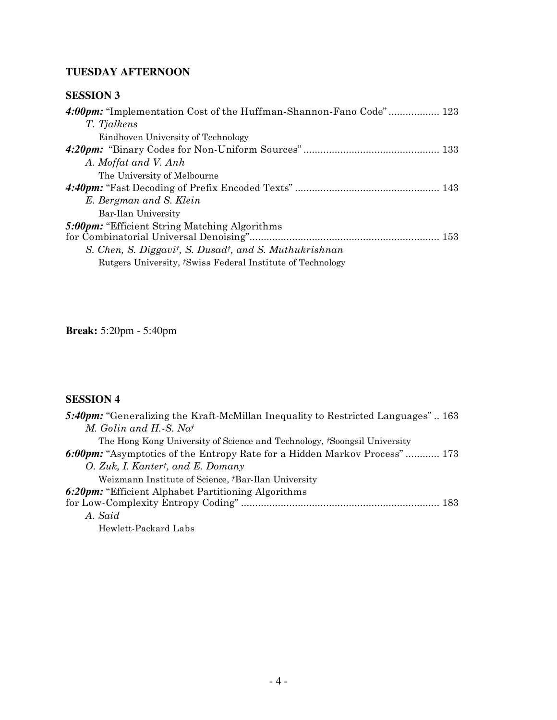# **TUESDAY AFTERNOON**

## **SESSION 3**

| 4:00pm: "Implementation Cost of the Huffman-Shannon-Fano Code" 123 |
|--------------------------------------------------------------------|
| T. Tjalkens                                                        |
| Eindhoven University of Technology                                 |
|                                                                    |
| A. Moffat and V. Anh                                               |
| The University of Melbourne                                        |
|                                                                    |
| E. Bergman and S. Klein                                            |
| Bar-Ilan University                                                |
| <b>5:00pm:</b> "Efficient String Matching Algorithms"              |
|                                                                    |
| S. Chen, S. Diggavit, S. Dusadt, and S. Muthukrishnan              |
| Rutgers University, <i>†Swiss Federal Institute of Technology</i>  |
|                                                                    |

## **Break:** 5:20pm - 5:40pm

## **SESSION 4**

| 5:40pm: "Generalizing the Kraft-McMillan Inequality to Restricted Languages" 163 |
|----------------------------------------------------------------------------------|
| M. Golin and H.-S. Nat                                                           |
| The Hong Kong University of Science and Technology, <i>Soongsil University</i>   |
| 6:00pm: "Asymptotics of the Entropy Rate for a Hidden Markov Process"  173       |
| O. Zuk, I. Kantert, and E. Domany                                                |
| Weizmann Institute of Science, <i>Bar-Ilan University</i>                        |
| <b>6:20pm:</b> "Efficient Alphabet Partitioning Algorithms"                      |
|                                                                                  |
| A. Said                                                                          |
| Hewlett-Packard Labs                                                             |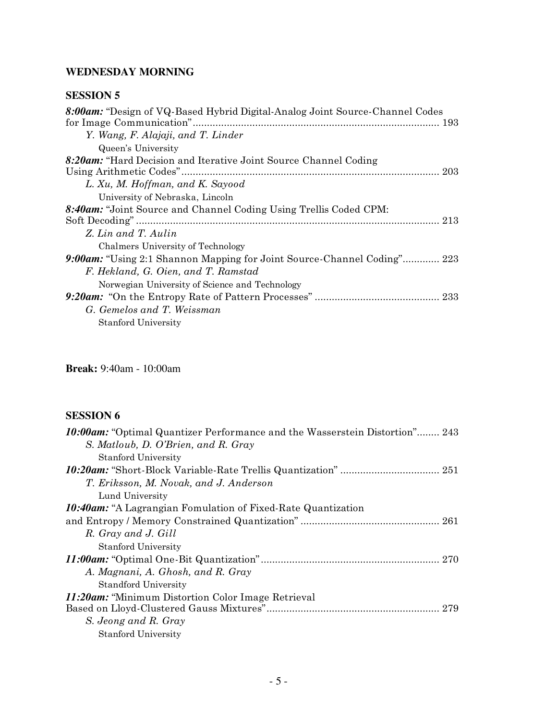# **WEDNESDAY MORNING**

## **SESSION 5**

**Break:** 9:40am - 10:00am

# **SESSION 6**

| <b>10:00am:</b> "Optimal Quantizer Performance and the Wasserstein Distortion" 243 |
|------------------------------------------------------------------------------------|
| S. Matloub, D. O'Brien, and R. Gray                                                |
| <b>Stanford University</b>                                                         |
|                                                                                    |
| T. Eriksson, M. Novak, and J. Anderson                                             |
| Lund University                                                                    |
| <b>10:40am:</b> "A Lagrangian Fomulation of Fixed-Rate Quantization"               |
|                                                                                    |
| R. Gray and J. Gill                                                                |
| <b>Stanford University</b>                                                         |
|                                                                                    |
| A. Magnani, A. Ghosh, and R. Gray                                                  |
| <b>Standford University</b>                                                        |
| <i>11:20am:</i> "Minimum Distortion Color Image Retrieval"                         |
|                                                                                    |
| S. Jeong and R. Gray                                                               |
| <b>Stanford University</b>                                                         |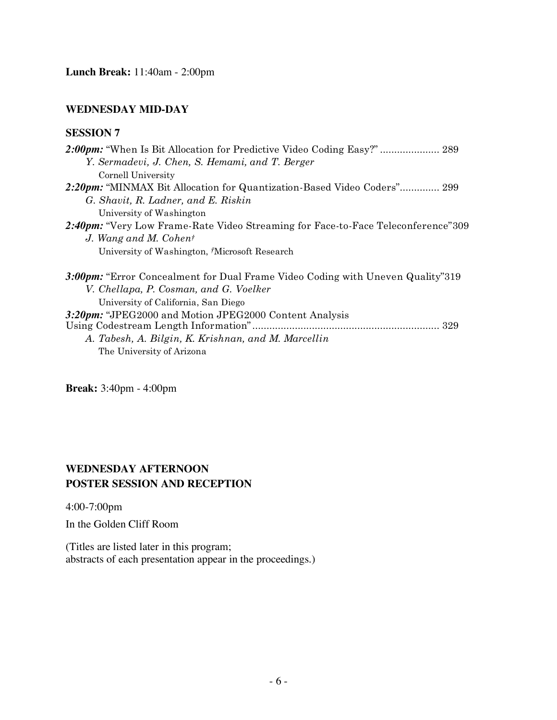### **WEDNESDAY MID-DAY**

#### **SESSION 7**

| Y. Sermadevi, J. Chen, S. Hemami, and T. Berger                                  |
|----------------------------------------------------------------------------------|
| Cornell University                                                               |
| 2:20pm: "MINMAX Bit Allocation for Quantization-Based Video Coders" 299          |
| G. Shavit, R. Ladner, and E. Riskin                                              |
| University of Washington                                                         |
| 2:40pm: "Very Low Frame-Rate Video Streaming for Face-to-Face Teleconference"309 |
| J. Wang and M. Cohent                                                            |
| University of Washington, Microsoft Research                                     |
| 3:00pm: "Error Concealment for Dual Frame Video Coding with Uneven Quality"319   |
| V. Chellapa, P. Cosman, and G. Voelker                                           |
| University of California, San Diego                                              |
| 3:20pm: "JPEG2000 and Motion JPEG2000 Content Analysis                           |
|                                                                                  |
| A. Tabesh, A. Bilgin, K. Krishnan, and M. Marcellin                              |
| The University of Arizona                                                        |

**Break:** 3:40pm - 4:00pm

## **WEDNESDAY AFTERNOON POSTER SESSION AND RECEPTION**

4:00-7:00pm

In the Golden Cliff Room

(Titles are listed later in this program; abstracts of each presentation appear in the proceedings.)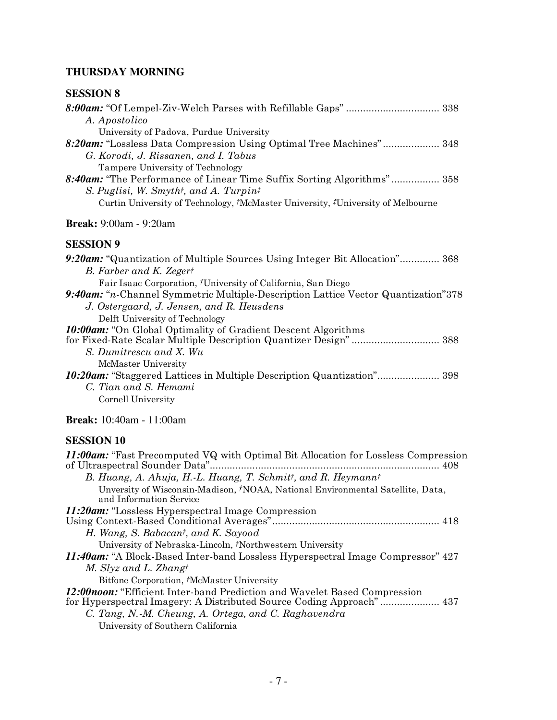# **THURSDAY MORNING**

| <b>SESSION 8</b>                                                                                                                         |
|------------------------------------------------------------------------------------------------------------------------------------------|
|                                                                                                                                          |
| A. Apostolico                                                                                                                            |
| University of Padova, Purdue University                                                                                                  |
| 8:20am: "Lossless Data Compression Using Optimal Tree Machines" 348                                                                      |
| G. Korodi, J. Rissanen, and I. Tabus                                                                                                     |
| Tampere University of Technology                                                                                                         |
| 8:40am: "The Performance of Linear Time Suffix Sorting Algorithms" 358<br>S. Puglisi, W. Smyth <sup>†</sup> , and A. Turpin <sup>‡</sup> |
| Curtin University of Technology, <i>†McMaster University</i> , <i>‡University</i> of Melbourne                                           |
|                                                                                                                                          |
| <b>Break:</b> 9:00am - 9:20am                                                                                                            |
| <b>SESSION 9</b>                                                                                                                         |
| 9:20am: "Quantization of Multiple Sources Using Integer Bit Allocation" 368                                                              |
| B. Farber and K. Zegert                                                                                                                  |
| Fair Isaac Corporation, <sup>†</sup> University of California, San Diego                                                                 |
| 9:40am: "n-Channel Symmetric Multiple-Description Lattice Vector Quantization"378                                                        |
| J. Ostergaard, J. Jensen, and R. Heusdens                                                                                                |
| Delft University of Technology<br><b>10:00am:</b> "On Global Optimality of Gradient Descent Algorithms"                                  |
| for Fixed-Rate Scalar Multiple Description Quantizer Design" 388                                                                         |
| S. Dumitrescu and X. Wu                                                                                                                  |
| McMaster University                                                                                                                      |
| 10:20am: "Staggered Lattices in Multiple Description Quantization" 398                                                                   |
| C. Tian and S. Hemami                                                                                                                    |
| Cornell University                                                                                                                       |
| <b>Break:</b> 10:40am - 11:00am                                                                                                          |
| <b>SESSION 10</b>                                                                                                                        |
| 11:00am: "Fast Precomputed VQ with Optimal Bit Allocation for Lossless Compression                                                       |
| of Ultraspectral Sounder Data"                                                                                                           |
| B. Huang, A. Ahuja, H.-L. Huang, T. Schmitt, and R. Heymannt                                                                             |
| Unversity of Wisconsin-Madison, †NOAA, National Environmental Satellite, Data,                                                           |
| and Information Service                                                                                                                  |
| 11:20am: "Lossless Hyperspectral Image Compression"                                                                                      |
|                                                                                                                                          |
| H. Wang, S. Babacant, and K. Sayood<br>University of Nebraska-Lincoln, †Northwestern University                                          |
| <b>11:40am:</b> "A Block-Based Inter-band Lossless Hyperspectral Image Compressor" 427                                                   |
| M. Slyz and L. Zhangt                                                                                                                    |
| Bitfone Corporation, <i>†</i> McMaster University                                                                                        |
|                                                                                                                                          |

*12:00noon:* "Efficient Inter-band Prediction and Wavelet Based Compression for Hyperspectral Imagery: A Distributed Source Coding Approach"..................... 437 *C. Tang, N.-M. Cheung, A. Ortega, and C. Raghavendra*

University of Southern California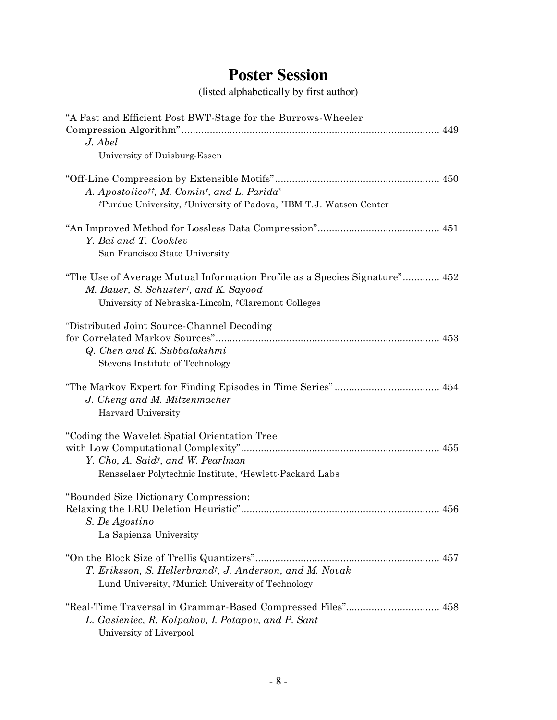# **Poster Session**

(listed alphabetically by first author)

| "A Fast and Efficient Post BWT-Stage for the Burrows-Wheeler                                                                                                               |
|----------------------------------------------------------------------------------------------------------------------------------------------------------------------------|
| J. Abel                                                                                                                                                                    |
| University of Duisburg-Essen                                                                                                                                               |
| A. Apostolico <sup>††</sup> , M. Comin <sup>†</sup> , and L. Parida*<br><sup>†</sup> Purdue University, <sup>‡</sup> University of Padova, *IBM T.J. Watson Center         |
| Y. Bai and T. Cooklev                                                                                                                                                      |
| San Francisco State University                                                                                                                                             |
| "The Use of Average Mutual Information Profile as a Species Signature" 452<br>M. Bauer, S. Schustert, and K. Sayood<br>University of Nebraska-Lincoln, †Claremont Colleges |
| "Distributed Joint Source-Channel Decoding<br>Q. Chen and K. Subbalakshmi<br>Stevens Institute of Technology                                                               |
| J. Cheng and M. Mitzenmacher<br>Harvard University                                                                                                                         |
| "Coding the Wavelet Spatial Orientation Tree<br>Y. Cho, A. Said <sup>†</sup> , and W. Pearlman<br>Rensselaer Polytechnic Institute, Hewlett-Packard Labs                   |
| "Bounded Size Dictionary Compression:<br>S. De Agostino<br>La Sapienza University                                                                                          |
| T. Eriksson, S. Hellerbrand <sup>†</sup> , J. Anderson, and M. Novak<br>Lund University, <sup>†</sup> Munich University of Technology                                      |
| "Real-Time Traversal in Grammar-Based Compressed Files" 458<br>L. Gasieniec, R. Kolpakov, I. Potapov, and P. Sant<br>University of Liverpool                               |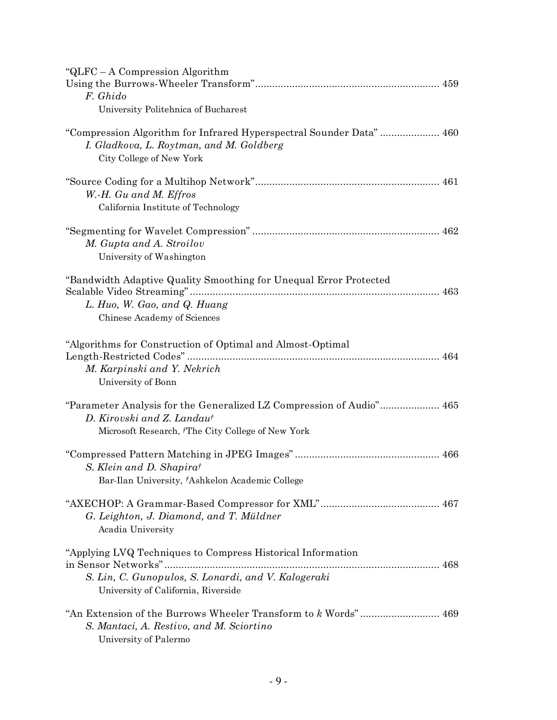| " $QLFC - A$ Compression Algorithm<br>F. Ghido<br>University Politehnica of Bucharest                                                                               |
|---------------------------------------------------------------------------------------------------------------------------------------------------------------------|
| "Compression Algorithm for Infrared Hyperspectral Sounder Data" 460<br>I. Gladkova, L. Roytman, and M. Goldberg<br>City College of New York                         |
| W.-H. Gu and M. Effros<br>California Institute of Technology                                                                                                        |
| M. Gupta and A. Stroilov<br>University of Washington                                                                                                                |
| "Bandwidth Adaptive Quality Smoothing for Unequal Error Protected<br>L. Huo, W. Gao, and Q. Huang<br>Chinese Academy of Sciences                                    |
| "Algorithms for Construction of Optimal and Almost-Optimal<br>M. Karpinski and Y. Nekrich<br>University of Bonn                                                     |
| "Parameter Analysis for the Generalized LZ Compression of Audio" 465<br>D. Kirovski and Z. Landaut<br>Microsoft Research, <sup>†</sup> The City College of New York |
| S. Klein and D. Shapirat<br>Bar-Ilan University, †Ashkelon Academic College                                                                                         |
| G. Leighton, J. Diamond, and T. Müldner<br>Acadia University                                                                                                        |
| "Applying LVQ Techniques to Compress Historical Information<br>S. Lin, C. Gunopulos, S. Lonardi, and V. Kalogeraki<br>University of California, Riverside           |
| S. Mantaci, A. Restivo, and M. Sciortino<br>University of Palermo                                                                                                   |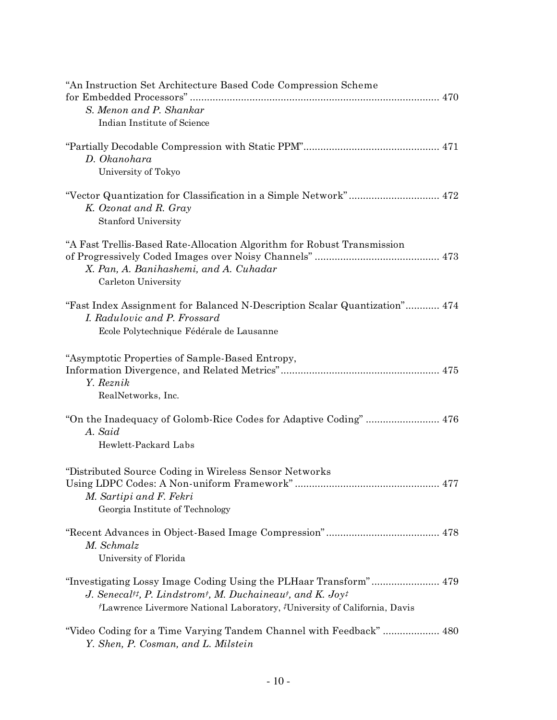| "An Instruction Set Architecture Based Code Compression Scheme                                              |
|-------------------------------------------------------------------------------------------------------------|
| S. Menon and P. Shankar                                                                                     |
| Indian Institute of Science                                                                                 |
|                                                                                                             |
|                                                                                                             |
| D. Okanohara                                                                                                |
| University of Tokyo                                                                                         |
|                                                                                                             |
| K. Ozonat and R. Gray                                                                                       |
| <b>Stanford University</b>                                                                                  |
|                                                                                                             |
| "A Fast Trellis-Based Rate-Allocation Algorithm for Robust Transmission                                     |
|                                                                                                             |
| X. Pan, A. Banihashemi, and A. Cuhadar                                                                      |
| Carleton University                                                                                         |
| "Fast Index Assignment for Balanced N-Description Scalar Quantization" 474                                  |
| I. Radulovic and P. Frossard                                                                                |
| Ecole Polytechnique Fédérale de Lausanne                                                                    |
|                                                                                                             |
| "Asymptotic Properties of Sample-Based Entropy,                                                             |
|                                                                                                             |
| Y. Reznik                                                                                                   |
| RealNetworks, Inc.                                                                                          |
|                                                                                                             |
| A. Said                                                                                                     |
| Hewlett-Packard Labs                                                                                        |
|                                                                                                             |
| "Distributed Source Coding in Wireless Sensor Networks                                                      |
|                                                                                                             |
| M. Sartipi and F. Fekri                                                                                     |
| Georgia Institute of Technology                                                                             |
|                                                                                                             |
| M. Schmalz                                                                                                  |
| University of Florida                                                                                       |
|                                                                                                             |
|                                                                                                             |
| J. Senecal <sup>††</sup> , P. Lindstrom <sup>†</sup> , M. Duchaineau <sup>†</sup> , and K. Joy <sup>†</sup> |
| <i>†Lawrence Livermore National Laboratory, #University of California, Davis</i>                            |
| "Video Coding for a Time Varying Tandem Channel with Feedback"  480                                         |
| Y. Shen, P. Cosman, and L. Milstein                                                                         |
|                                                                                                             |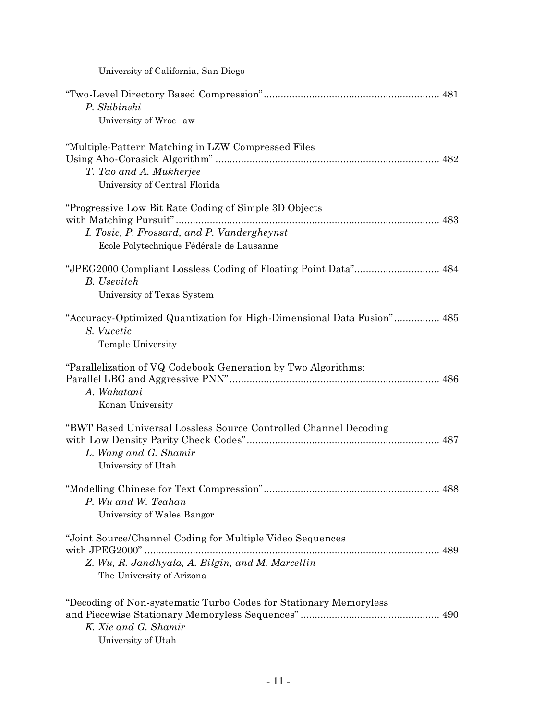| University of California, San Diego                                                                                                               |  |
|---------------------------------------------------------------------------------------------------------------------------------------------------|--|
| P. Skibinski<br>University of Wroc aw                                                                                                             |  |
| "Multiple-Pattern Matching in LZW Compressed Files<br>T. Tao and A. Mukherjee<br>University of Central Florida                                    |  |
| "Progressive Low Bit Rate Coding of Simple 3D Objects"<br>I. Tosic, P. Frossard, and P. Vandergheynst<br>Ecole Polytechnique Fédérale de Lausanne |  |
| "JPEG2000 Compliant Lossless Coding of Floating Point Data" 484<br><b>B.</b> Usevitch<br>University of Texas System                               |  |
| "Accuracy-Optimized Quantization for High-Dimensional Data Fusion" 485<br>S. Vucetic<br>Temple University                                         |  |
| "Parallelization of VQ Codebook Generation by Two Algorithms:<br>A. Wakatani<br>Konan University                                                  |  |
| "BWT Based Universal Lossless Source Controlled Channel Decoding<br>L. Wang and G. Shamir<br>University of Utah                                   |  |
| P. Wu and W. Teahan<br>University of Wales Bangor                                                                                                 |  |
| "Joint Source/Channel Coding for Multiple Video Sequences<br>Z. Wu, R. Jandhyala, A. Bilgin, and M. Marcellin<br>The University of Arizona        |  |
| "Decoding of Non-systematic Turbo Codes for Stationary Memoryless<br>K. Xie and G. Shamir<br>University of Utah                                   |  |